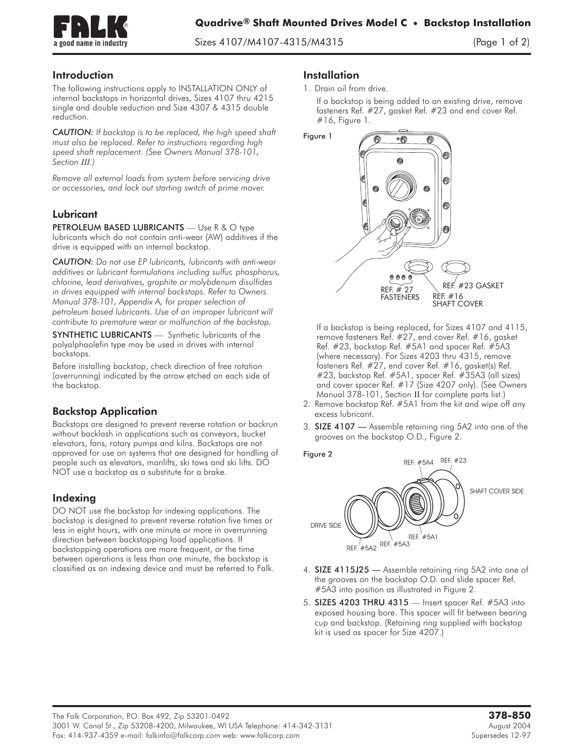

 $S^2$   $S^3$   $S^4$   $S^3$   $S^4$   $S^4$   $S^5$   $S^4$   $S^6$   $S^7$ 

## Introduction

The following instructions apply to INSTALLATION ONLY of internal backstops in horizontal drives, Sizes 4107 thru 4215 single and double reduction and Size 4307 & 4315 double reduction.

*CAUTION: If backstop is to be replaced, the high speed shaft must also be replaced. Refer to instructions regarding high speed shaft replacement. (See Owners Manual 378-101, Section III.)*

*Remove all external loads from system before servicing drive or accessories, and lock out starting switch of prime mover.*

## Lubricant

PETROLEUM BASED LUBRICANTS - Use R & O type lubricants which do not contain anti-wear (AW) additives if the drive is equipped with an internal backstop.

*CAUTION: Do not use EP lubricants, lubricants with anti-wear additives or lubricant formulations including sulfur, phosphorus, chlorine, lead derivatives, graphite or molybdenum disulfides in drives equipped with internal backstops. Refer to Owners Manual 378-101, Appendix A, for proper selection of petroleum based lubricants. Use of an improper lubricant will contribute to premature wear or malfunction of the backstop.*

SYNTHETIC LUBRICANTS - Synthetic lubricants of the polyalphaolefin type may be used in drives with internal backstops.

Before installing backstop, check direction of free rotation (overrunning) indicated by the arrow etched on each side of the backstop.

# Backstop Application

Backstops are designed to prevent reverse rotation or backrun without backlash in applications such as conveyors, bucket elevators, fans, rotary pumps and kilns. Backstops are not approved for use on systems that are designed for handling of people such as elevators, manlifts, ski tows and ski lifts. DO NOT use a backstop as a substitute for a brake.

# Indexing

DO NOT use the backstop for indexing applications. The backstop is designed to prevent reverse rotation five times or less in eight hours, with one minute or more in overrunning direction between backstopping load applications. If backstopping operations are more frequent, or the time between operations is less than one minute, the backstop is classified as an indexing device and must be referred to Falk.

#### **Installation**

If a backstop is being added to an existing drive, remove fasteners Ref. #27, gasket Ref. #23 and end cover Ref. #16, Figure 1.



If a backstop is being replaced, for Sizes 4107 and 4115, remove fasteners Ref. #27, end cover Ref. #16, gasket Ref. #23, backstop Ref. #5A1 and spacer Ref. #5A3 (where necessary). For Sizes 4203 thru 4315, remove fasteners Ref. #27, end cover Ref. #16, gasket(s) Ref. #23, backstop Ref. #5A1, spacer Ref. #35A3 (all sizes) and cover spacer Ref. #17 (Size 4207 only). (See Owners Manual 378-101, Section II for complete parts list.)

- 2. Remove backstop Ref. #5A1 from the kit and wipe off any excess lubricant.
- 3. SIZE 4107 Assemble retaining ring 5A2 into one of the grooves on the backstop O.D., Figure 2.





- 4. SIZE 4115J25 Assemble retaining ring 5A2 into one of the grooves on the backstop O.D. and slide spacer Ref. #5A3 into position as illustrated in Figure 2.
- 5. SIZES 4203 THRU 4315  **Insert spacer Ref. #5A3 into exposed housing bore. This spacer will fit between bearing cup and backstop. (Retaining ring supplied with backstop kit is used as spacer for Size 4207.)**

<sup>1.</sup> Drain oil from drive.